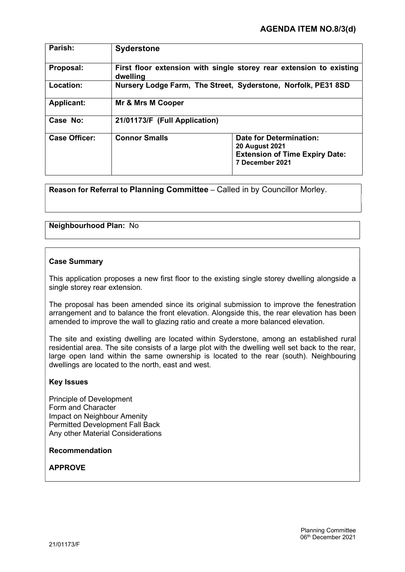| Parish:              | <b>Syderstone</b>                                                               |                                                                                                                     |
|----------------------|---------------------------------------------------------------------------------|---------------------------------------------------------------------------------------------------------------------|
| Proposal:            | First floor extension with single storey rear extension to existing<br>dwelling |                                                                                                                     |
| Location:            | Nursery Lodge Farm, The Street, Syderstone, Norfolk, PE31 8SD                   |                                                                                                                     |
| <b>Applicant:</b>    | Mr & Mrs M Cooper                                                               |                                                                                                                     |
| Case No:             | 21/01173/F (Full Application)                                                   |                                                                                                                     |
| <b>Case Officer:</b> | <b>Connor Smalls</b>                                                            | <b>Date for Determination:</b><br><b>20 August 2021</b><br><b>Extension of Time Expiry Date:</b><br>7 December 2021 |

Reason for Referral to Planning Committee – Called in by Councillor Morley.

# Neighbourhood Plan: No

# Case Summary

This application proposes a new first floor to the existing single storey dwelling alongside a single storey rear extension.

The proposal has been amended since its original submission to improve the fenestration arrangement and to balance the front elevation. Alongside this, the rear elevation has been amended to improve the wall to glazing ratio and create a more balanced elevation.

The site and existing dwelling are located within Syderstone, among an established rural residential area. The site consists of a large plot with the dwelling well set back to the rear, large open land within the same ownership is located to the rear (south). Neighbouring dwellings are located to the north, east and west.

### Key Issues

Principle of Development Form and Character Impact on Neighbour Amenity Permitted Development Fall Back Any other Material Considerations

# Recommendation

# APPROVE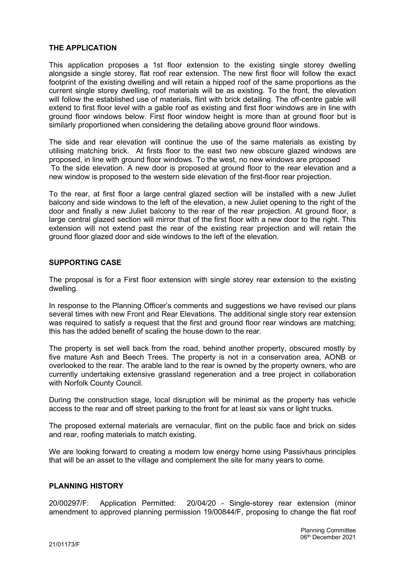# THE APPLICATION

This application proposes a 1st floor extension to the existing single storey dwelling alongside a single storey, flat roof rear extension. The new first floor will follow the exact footprint of the existing dwelling and will retain a hipped roof of the same proportions as the current single storey dwelling, roof materials will be as existing. To the front, the elevation will follow the established use of materials, flint with brick detailing. The off-centre gable will extend to first floor level with a gable roof as existing and first floor windows are in line with ground floor windows below. First floor window height is more than at ground floor but is similarly proportioned when considering the detailing above ground floor windows.

The side and rear elevation will continue the use of the same materials as existing by utilising matching brick. At firsts floor to the east two new obscure glazed windows are proposed, in line with ground floor windows. To the west, no new windows are proposed To the side elevation. A new door is proposed at ground floor to the rear elevation and a new window is proposed to the western side elevation of the first-floor rear projection.

To the rear, at first floor a large central glazed section will be installed with a new Juliet balcony and side windows to the left of the elevation, a new Juliet opening to the right of the door and finally a new Juliet balcony to the rear of the rear projection. At ground floor, a large central glazed section will mirror that of the first floor with a new door to the right. This extension will not extend past the rear of the existing rear projection and will retain the ground floor glazed door and side windows to the left of the elevation.

# SUPPORTING CASE

The proposal is for a First floor extension with single storey rear extension to the existing dwelling.

In response to the Planning Officer's comments and suggestions we have revised our plans several times with new Front and Rear Elevations. The additional single story rear extension was required to satisfy a request that the first and ground floor rear windows are matching; this has the added benefit of scaling the house down to the rear.

The property is set well back from the road, behind another property, obscured mostly by five mature Ash and Beech Trees. The property is not in a conservation area, AONB or overlooked to the rear. The arable land to the rear is owned by the property owners, who are currently undertaking extensive grassland regeneration and a tree project in collaboration with Norfolk County Council.

During the construction stage, local disruption will be minimal as the property has vehicle access to the rear and off street parking to the front for at least six vans or light trucks.

The proposed external materials are vernacular, flint on the public face and brick on sides and rear, roofing materials to match existing.

We are looking forward to creating a modern low energy home using Passivhaus principles that will be an asset to the village and complement the site for many years to come.

### PLANNING HISTORY

20/00297/F: Application Permitted: 20/04/20 - Single-storey rear extension (minor amendment to approved planning permission 19/00844/F, proposing to change the flat roof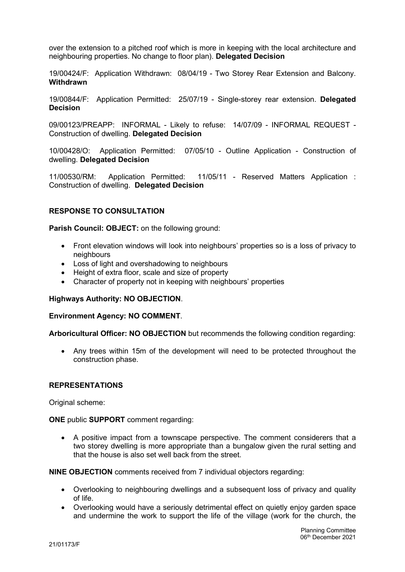over the extension to a pitched roof which is more in keeping with the local architecture and neighbouring properties. No change to floor plan). Delegated Decision

19/00424/F: Application Withdrawn: 08/04/19 - Two Storey Rear Extension and Balcony. **Withdrawn** 

19/00844/F: Application Permitted: 25/07/19 - Single-storey rear extension. Delegated Decision

09/00123/PREAPP: INFORMAL - Likely to refuse: 14/07/09 - INFORMAL REQUEST - Construction of dwelling. Delegated Decision

10/00428/O: Application Permitted: 07/05/10 - Outline Application - Construction of dwelling. Delegated Decision

11/00530/RM: Application Permitted: 11/05/11 - Reserved Matters Application : Construction of dwelling. Delegated Decision

# RESPONSE TO CONSULTATION

Parish Council: OBJECT: on the following ground:

- Front elevation windows will look into neighbours' properties so is a loss of privacy to neighbours
- Loss of light and overshadowing to neighbours
- Height of extra floor, scale and size of property
- Character of property not in keeping with neighbours' properties

### Highways Authority: NO OBJECTION.

### Environment Agency: NO COMMENT.

Arboricultural Officer: NO OBJECTION but recommends the following condition regarding:

 Any trees within 15m of the development will need to be protected throughout the construction phase.

### REPRESENTATIONS

Original scheme:

ONE public SUPPORT comment regarding:

 A positive impact from a townscape perspective. The comment considerers that a two storey dwelling is more appropriate than a bungalow given the rural setting and that the house is also set well back from the street.

NINE OBJECTION comments received from 7 individual objectors regarding:

- Overlooking to neighbouring dwellings and a subsequent loss of privacy and quality of life.
- Overlooking would have a seriously detrimental effect on quietly enjoy garden space and undermine the work to support the life of the village (work for the church, the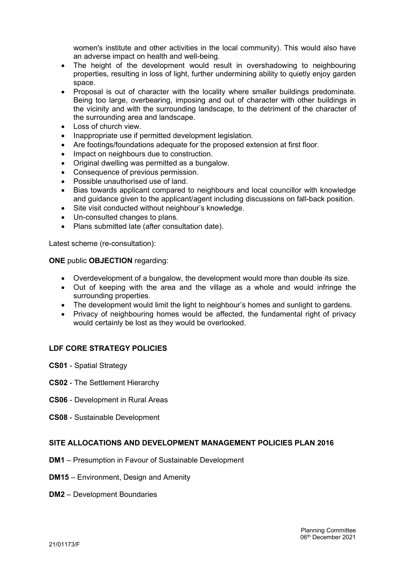women's institute and other activities in the local community). This would also have an adverse impact on health and well-being.

- The height of the development would result in overshadowing to neighbouring properties, resulting in loss of light, further undermining ability to quietly enjoy garden space.
- Proposal is out of character with the locality where smaller buildings predominate. Being too large, overbearing, imposing and out of character with other buildings in the vicinity and with the surrounding landscape, to the detriment of the character of the surrounding area and landscape.
- Loss of church view.
- Inappropriate use if permitted development legislation.
- Are footings/foundations adequate for the proposed extension at first floor.
- Impact on neighbours due to construction.
- Original dwelling was permitted as a bungalow.
- Consequence of previous permission.
- Possible unauthorised use of land.
- Bias towards applicant compared to neighbours and local councillor with knowledge and guidance given to the applicant/agent including discussions on fall-back position.
- Site visit conducted without neighbour's knowledge.
- Un-consulted changes to plans.
- Plans submitted late (after consultation date).

Latest scheme (re-consultation):

#### ONE public OBJECTION regarding:

- Overdevelopment of a bungalow, the development would more than double its size.
- Out of keeping with the area and the village as a whole and would infringe the surrounding properties.
- The development would limit the light to neighbour's homes and sunlight to gardens.
- Privacy of neighbouring homes would be affected, the fundamental right of privacy would certainly be lost as they would be overlooked.

# LDF CORE STRATEGY POLICIES

- CS01 Spatial Strategy
- CS02 The Settlement Hierarchy
- CS06 Development in Rural Areas
- CS08 Sustainable Development

# SITE ALLOCATIONS AND DEVELOPMENT MANAGEMENT POLICIES PLAN 2016

- DM1 Presumption in Favour of Sustainable Development
- DM15 Environment, Design and Amenity
- DM2 Development Boundaries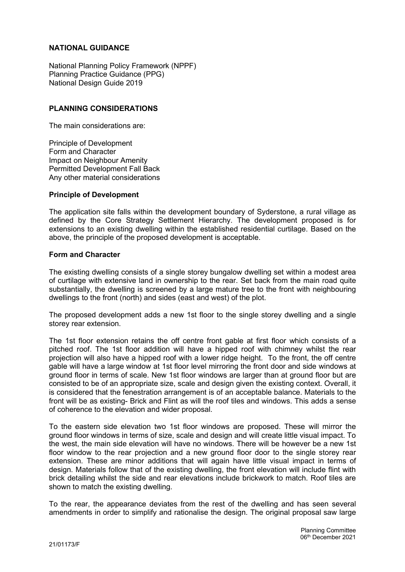# NATIONAL GUIDANCE

National Planning Policy Framework (NPPF) Planning Practice Guidance (PPG) National Design Guide 2019

# PLANNING CONSIDERATIONS

The main considerations are:

Principle of Development Form and Character Impact on Neighbour Amenity Permitted Development Fall Back Any other material considerations

### Principle of Development

The application site falls within the development boundary of Syderstone, a rural village as defined by the Core Strategy Settlement Hierarchy. The development proposed is for extensions to an existing dwelling within the established residential curtilage. Based on the above, the principle of the proposed development is acceptable.

### Form and Character

The existing dwelling consists of a single storey bungalow dwelling set within a modest area of curtilage with extensive land in ownership to the rear. Set back from the main road quite substantially, the dwelling is screened by a large mature tree to the front with neighbouring dwellings to the front (north) and sides (east and west) of the plot.

The proposed development adds a new 1st floor to the single storey dwelling and a single storey rear extension.

The 1st floor extension retains the off centre front gable at first floor which consists of a pitched roof. The 1st floor addition will have a hipped roof with chimney whilst the rear projection will also have a hipped roof with a lower ridge height. To the front, the off centre gable will have a large window at 1st floor level mirroring the front door and side windows at ground floor in terms of scale. New 1st floor windows are larger than at ground floor but are consisted to be of an appropriate size, scale and design given the existing context. Overall, it is considered that the fenestration arrangement is of an acceptable balance. Materials to the front will be as existing- Brick and Flint as will the roof tiles and windows. This adds a sense of coherence to the elevation and wider proposal.

To the eastern side elevation two 1st floor windows are proposed. These will mirror the ground floor windows in terms of size, scale and design and will create little visual impact. To the west, the main side elevation will have no windows. There will be however be a new 1st floor window to the rear projection and a new ground floor door to the single storey rear extension. These are minor additions that will again have little visual impact in terms of design. Materials follow that of the existing dwelling, the front elevation will include flint with brick detailing whilst the side and rear elevations include brickwork to match. Roof tiles are shown to match the existing dwelling.

To the rear, the appearance deviates from the rest of the dwelling and has seen several amendments in order to simplify and rationalise the design. The original proposal saw large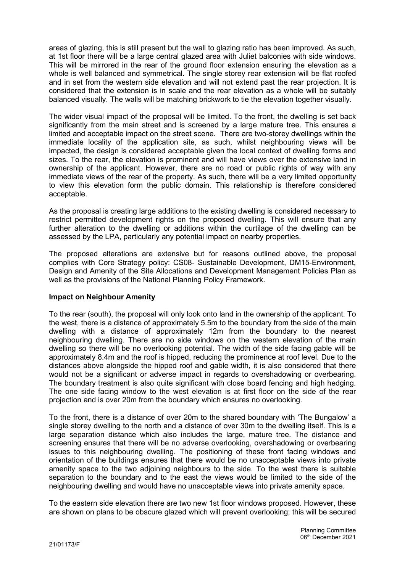areas of glazing, this is still present but the wall to glazing ratio has been improved. As such, at 1st floor there will be a large central glazed area with Juliet balconies with side windows. This will be mirrored in the rear of the ground floor extension ensuring the elevation as a whole is well balanced and symmetrical. The single storey rear extension will be flat roofed and in set from the western side elevation and will not extend past the rear projection. It is considered that the extension is in scale and the rear elevation as a whole will be suitably balanced visually. The walls will be matching brickwork to tie the elevation together visually.

The wider visual impact of the proposal will be limited. To the front, the dwelling is set back significantly from the main street and is screened by a large mature tree. This ensures a limited and acceptable impact on the street scene. There are two-storey dwellings within the immediate locality of the application site, as such, whilst neighbouring views will be impacted, the design is considered acceptable given the local context of dwelling forms and sizes. To the rear, the elevation is prominent and will have views over the extensive land in ownership of the applicant. However, there are no road or public rights of way with any immediate views of the rear of the property. As such, there will be a very limited opportunity to view this elevation form the public domain. This relationship is therefore considered acceptable.

As the proposal is creating large additions to the existing dwelling is considered necessary to restrict permitted development rights on the proposed dwelling. This will ensure that any further alteration to the dwelling or additions within the curtilage of the dwelling can be assessed by the LPA, particularly any potential impact on nearby properties.

The proposed alterations are extensive but for reasons outlined above, the proposal complies with Core Strategy policy: CS08- Sustainable Development, DM15-Environment, Design and Amenity of the Site Allocations and Development Management Policies Plan as well as the provisions of the National Planning Policy Framework.

# Impact on Neighbour Amenity

To the rear (south), the proposal will only look onto land in the ownership of the applicant. To the west, there is a distance of approximately 5.5m to the boundary from the side of the main dwelling with a distance of approximately 12m from the boundary to the nearest neighbouring dwelling. There are no side windows on the western elevation of the main dwelling so there will be no overlooking potential. The width of the side facing gable will be approximately 8.4m and the roof is hipped, reducing the prominence at roof level. Due to the distances above alongside the hipped roof and gable width, it is also considered that there would not be a significant or adverse impact in regards to overshadowing or overbearing. The boundary treatment is also quite significant with close board fencing and high hedging. The one side facing window to the west elevation is at first floor on the side of the rear projection and is over 20m from the boundary which ensures no overlooking.

To the front, there is a distance of over 20m to the shared boundary with 'The Bungalow' a single storey dwelling to the north and a distance of over 30m to the dwelling itself. This is a large separation distance which also includes the large, mature tree. The distance and screening ensures that there will be no adverse overlooking, overshadowing or overbearing issues to this neighbouring dwelling. The positioning of these front facing windows and orientation of the buildings ensures that there would be no unacceptable views into private amenity space to the two adjoining neighbours to the side. To the west there is suitable separation to the boundary and to the east the views would be limited to the side of the neighbouring dwelling and would have no unacceptable views into private amenity space.

To the eastern side elevation there are two new 1st floor windows proposed. However, these are shown on plans to be obscure glazed which will prevent overlooking; this will be secured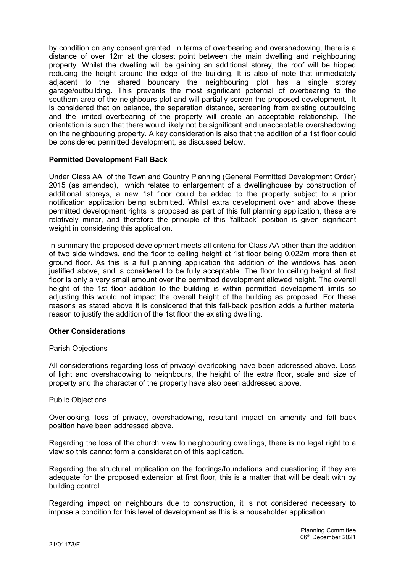by condition on any consent granted. In terms of overbearing and overshadowing, there is a distance of over 12m at the closest point between the main dwelling and neighbouring property. Whilst the dwelling will be gaining an additional storey, the roof will be hipped reducing the height around the edge of the building. It is also of note that immediately adjacent to the shared boundary the neighbouring plot has a single storey garage/outbuilding. This prevents the most significant potential of overbearing to the southern area of the neighbours plot and will partially screen the proposed development. It is considered that on balance, the separation distance, screening from existing outbuilding and the limited overbearing of the property will create an acceptable relationship. The orientation is such that there would likely not be significant and unacceptable overshadowing on the neighbouring property. A key consideration is also that the addition of a 1st floor could be considered permitted development, as discussed below.

# Permitted Development Fall Back

Under Class AA of the Town and Country Planning (General Permitted Development Order) 2015 (as amended), which relates to enlargement of a dwellinghouse by construction of additional storeys, a new 1st floor could be added to the property subject to a prior notification application being submitted. Whilst extra development over and above these permitted development rights is proposed as part of this full planning application, these are relatively minor, and therefore the principle of this 'fallback' position is given significant weight in considering this application.

In summary the proposed development meets all criteria for Class AA other than the addition of two side windows, and the floor to ceiling height at 1st floor being 0.022m more than at ground floor. As this is a full planning application the addition of the windows has been justified above, and is considered to be fully acceptable. The floor to ceiling height at first floor is only a very small amount over the permitted development allowed height. The overall height of the 1st floor addition to the building is within permitted development limits so adjusting this would not impact the overall height of the building as proposed. For these reasons as stated above it is considered that this fall-back position adds a further material reason to justify the addition of the 1st floor the existing dwelling.

### Other Considerations

### Parish Objections

All considerations regarding loss of privacy/ overlooking have been addressed above. Loss of light and overshadowing to neighbours, the height of the extra floor, scale and size of property and the character of the property have also been addressed above.

### Public Objections

Overlooking, loss of privacy, overshadowing, resultant impact on amenity and fall back position have been addressed above.

Regarding the loss of the church view to neighbouring dwellings, there is no legal right to a view so this cannot form a consideration of this application.

Regarding the structural implication on the footings/foundations and questioning if they are adequate for the proposed extension at first floor, this is a matter that will be dealt with by building control.

Regarding impact on neighbours due to construction, it is not considered necessary to impose a condition for this level of development as this is a householder application.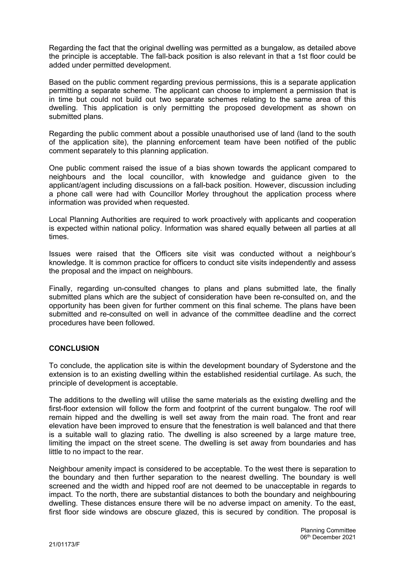Regarding the fact that the original dwelling was permitted as a bungalow, as detailed above the principle is acceptable. The fall-back position is also relevant in that a 1st floor could be added under permitted development.

Based on the public comment regarding previous permissions, this is a separate application permitting a separate scheme. The applicant can choose to implement a permission that is in time but could not build out two separate schemes relating to the same area of this dwelling. This application is only permitting the proposed development as shown on submitted plans.

Regarding the public comment about a possible unauthorised use of land (land to the south of the application site), the planning enforcement team have been notified of the public comment separately to this planning application.

One public comment raised the issue of a bias shown towards the applicant compared to neighbours and the local councillor, with knowledge and guidance given to the applicant/agent including discussions on a fall-back position. However, discussion including a phone call were had with Councillor Morley throughout the application process where information was provided when requested.

Local Planning Authorities are required to work proactively with applicants and cooperation is expected within national policy. Information was shared equally between all parties at all times.

Issues were raised that the Officers site visit was conducted without a neighbour's knowledge. It is common practice for officers to conduct site visits independently and assess the proposal and the impact on neighbours.

Finally, regarding un-consulted changes to plans and plans submitted late, the finally submitted plans which are the subject of consideration have been re-consulted on, and the opportunity has been given for further comment on this final scheme. The plans have been submitted and re-consulted on well in advance of the committee deadline and the correct procedures have been followed.

# **CONCLUSION**

To conclude, the application site is within the development boundary of Syderstone and the extension is to an existing dwelling within the established residential curtilage. As such, the principle of development is acceptable.

The additions to the dwelling will utilise the same materials as the existing dwelling and the first-floor extension will follow the form and footprint of the current bungalow. The roof will remain hipped and the dwelling is well set away from the main road. The front and rear elevation have been improved to ensure that the fenestration is well balanced and that there is a suitable wall to glazing ratio. The dwelling is also screened by a large mature tree, limiting the impact on the street scene. The dwelling is set away from boundaries and has little to no impact to the rear.

Neighbour amenity impact is considered to be acceptable. To the west there is separation to the boundary and then further separation to the nearest dwelling. The boundary is well screened and the width and hipped roof are not deemed to be unacceptable in regards to impact. To the north, there are substantial distances to both the boundary and neighbouring dwelling. These distances ensure there will be no adverse impact on amenity. To the east, first floor side windows are obscure glazed, this is secured by condition. The proposal is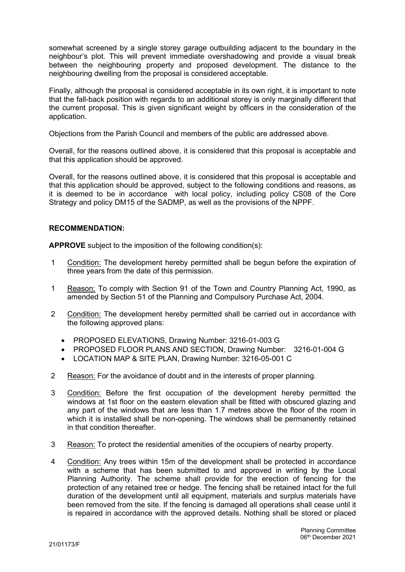somewhat screened by a single storey garage outbuilding adjacent to the boundary in the neighbour's plot. This will prevent immediate overshadowing and provide a visual break between the neighbouring property and proposed development. The distance to the neighbouring dwelling from the proposal is considered acceptable.

Finally, although the proposal is considered acceptable in its own right, it is important to note that the fall-back position with regards to an additional storey is only marginally different that the current proposal. This is given significant weight by officers in the consideration of the application.

Objections from the Parish Council and members of the public are addressed above.

Overall, for the reasons outlined above, it is considered that this proposal is acceptable and that this application should be approved.

Overall, for the reasons outlined above, it is considered that this proposal is acceptable and that this application should be approved, subject to the following conditions and reasons, as it is deemed to be in accordance with local policy, including policy CS08 of the Core Strategy and policy DM15 of the SADMP, as well as the provisions of the NPPF.

# RECOMMENDATION:

APPROVE subject to the imposition of the following condition(s):

- 1 Condition: The development hereby permitted shall be begun before the expiration of three years from the date of this permission.
- 1 Reason: To comply with Section 91 of the Town and Country Planning Act, 1990, as amended by Section 51 of the Planning and Compulsory Purchase Act, 2004.
- 2 Condition: The development hereby permitted shall be carried out in accordance with the following approved plans:
	- PROPOSED ELEVATIONS, Drawing Number: 3216-01-003 G
	- PROPOSED FLOOR PLANS AND SECTION, Drawing Number: 3216-01-004 G
	- LOCATION MAP & SITE PLAN, Drawing Number: 3216-05-001 C
- 2 Reason: For the avoidance of doubt and in the interests of proper planning.
- 3 Condition: Before the first occupation of the development hereby permitted the windows at 1st floor on the eastern elevation shall be fitted with obscured glazing and any part of the windows that are less than 1.7 metres above the floor of the room in which it is installed shall be non-opening. The windows shall be permanently retained in that condition thereafter.
- 3 Reason: To protect the residential amenities of the occupiers of nearby property.
- 4 Condition: Any trees within 15m of the development shall be protected in accordance with a scheme that has been submitted to and approved in writing by the Local Planning Authority. The scheme shall provide for the erection of fencing for the protection of any retained tree or hedge. The fencing shall be retained intact for the full duration of the development until all equipment, materials and surplus materials have been removed from the site. If the fencing is damaged all operations shall cease until it is repaired in accordance with the approved details. Nothing shall be stored or placed